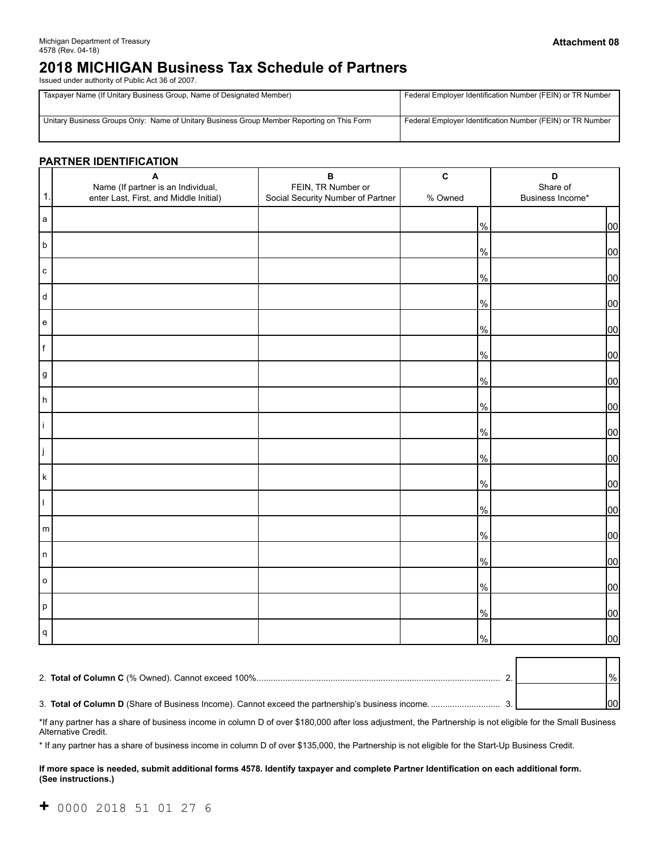# **2018 MICHIGAN Business Tax Schedule of Partners**

Issued under authority of Public Act 36 of 2007.

| Taxpayer Name (If Unitary Business Group, Name of Designated Member)                       | Federal Employer Identification Number (FEIN) or TR Number |  |  |
|--------------------------------------------------------------------------------------------|------------------------------------------------------------|--|--|
| Unitary Business Groups Only: Name of Unitary Business Group Member Reporting on This Form | Federal Employer Identification Number (FEIN) or TR Number |  |  |

#### **PARTNER IDENTIFICATION**

|                                   | $\blacktriangle$                                                             | $\, {\bf B}$                                            | $\mathbf{C}$  | D                            |  |
|-----------------------------------|------------------------------------------------------------------------------|---------------------------------------------------------|---------------|------------------------------|--|
| $\mathbf{1}$ .                    | Name (If partner is an Individual,<br>enter Last, First, and Middle Initial) | FEIN, TR Number or<br>Social Security Number of Partner | % Owned       | Share of<br>Business Income* |  |
| a                                 |                                                                              |                                                         | $\frac{9}{6}$ | 00                           |  |
| $\mathsf{b}$                      |                                                                              |                                                         | $\%$          | 00                           |  |
| ${\bf c}$                         |                                                                              |                                                         | $\%$          | 00                           |  |
| d                                 |                                                                              |                                                         | $\%$          | 00                           |  |
| ${\bf e}$                         |                                                                              |                                                         | $\%$          | 00                           |  |
| f                                 |                                                                              |                                                         | $\%$          | 00                           |  |
| $\boldsymbol{g}$                  |                                                                              |                                                         | $\%$          | 00                           |  |
| h                                 |                                                                              |                                                         | $\%$          | 00                           |  |
| İ.                                |                                                                              |                                                         | $\%$          | 00                           |  |
| ij                                |                                                                              |                                                         | $\%$          | 00                           |  |
| k                                 |                                                                              |                                                         | $\%$          | 00                           |  |
| $\mathbf{I}$                      |                                                                              |                                                         | $\%$          | 00                           |  |
| ${\sf m}$                         |                                                                              |                                                         | $\%$          | 00                           |  |
| n                                 |                                                                              |                                                         | $\%$          | 00                           |  |
| $\mathsf{o}$                      |                                                                              |                                                         | $\%$          | 00                           |  |
| $\mathsf{p}% _{T}=\mathsf{p}_{T}$ |                                                                              |                                                         | $\%$          | 00                           |  |
| q                                 |                                                                              |                                                         | $\%$          | 00                           |  |

| 2. Total of Column C (% Owned). Cannot exceed 100%                                                      |  | $\frac{9}{6}$ |
|---------------------------------------------------------------------------------------------------------|--|---------------|
| 3. <b>Total of Column D</b> (Share of Business Income). Cannot exceed the partnership's business income |  |               |

\*If any partner has a share of business income in column D of over \$180,000 after loss adjustment, the Partnership is not eligible for the Small Business Alternative Credit.

\* If any partner has a share of business income in column D of over \$135,000, the Partnership is not eligible for the Start-Up Business Credit.

#### **If more space is needed, submit additional forms 4578. Identify taxpayer and complete Partner Identification on each additional form. (See instructions.)**